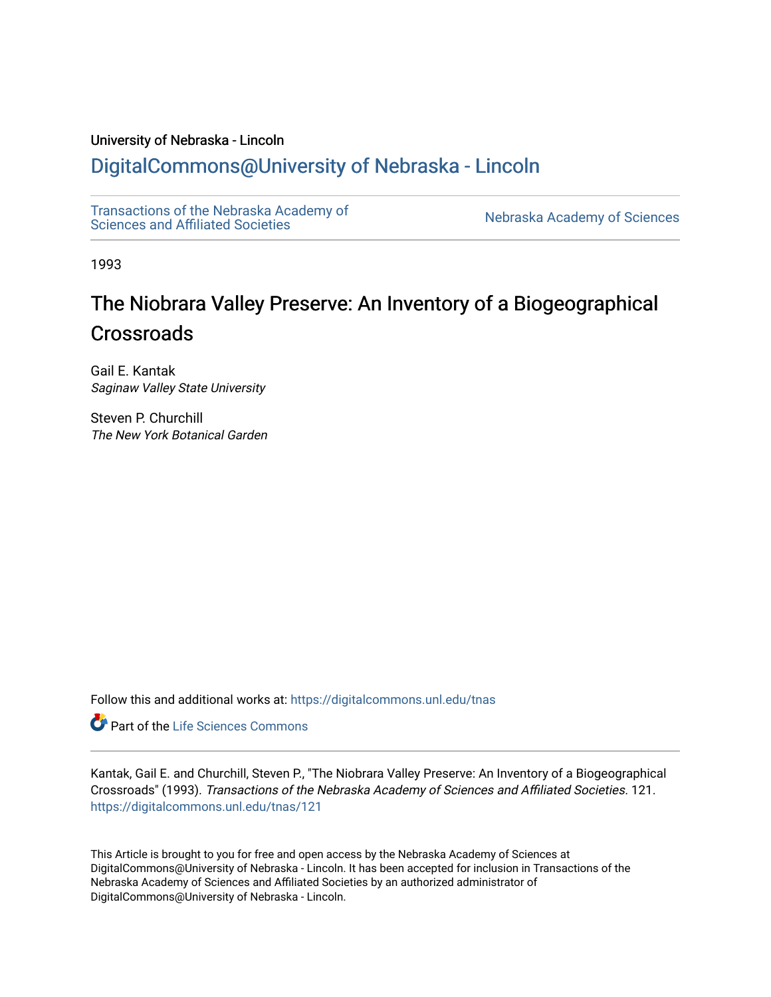### University of Nebraska - Lincoln

## [DigitalCommons@University of Nebraska - Lincoln](https://digitalcommons.unl.edu/)

[Transactions of the Nebraska Academy of](https://digitalcommons.unl.edu/tnas)  Transactions of the Nebraska Academy of Sciences<br>Sciences and Affiliated Societies

1993

# The Niobrara Valley Preserve: An Inventory of a Biogeographical **Crossroads**

Gail E. Kantak Saginaw Valley State University

Steven P. Churchill The New York Botanical Garden

Follow this and additional works at: [https://digitalcommons.unl.edu/tnas](https://digitalcommons.unl.edu/tnas?utm_source=digitalcommons.unl.edu%2Ftnas%2F121&utm_medium=PDF&utm_campaign=PDFCoverPages) 

Part of the [Life Sciences Commons](http://network.bepress.com/hgg/discipline/1016?utm_source=digitalcommons.unl.edu%2Ftnas%2F121&utm_medium=PDF&utm_campaign=PDFCoverPages) 

Kantak, Gail E. and Churchill, Steven P., "The Niobrara Valley Preserve: An Inventory of a Biogeographical Crossroads" (1993). Transactions of the Nebraska Academy of Sciences and Affiliated Societies. 121. [https://digitalcommons.unl.edu/tnas/121](https://digitalcommons.unl.edu/tnas/121?utm_source=digitalcommons.unl.edu%2Ftnas%2F121&utm_medium=PDF&utm_campaign=PDFCoverPages) 

This Article is brought to you for free and open access by the Nebraska Academy of Sciences at DigitalCommons@University of Nebraska - Lincoln. It has been accepted for inclusion in Transactions of the Nebraska Academy of Sciences and Affiliated Societies by an authorized administrator of DigitalCommons@University of Nebraska - Lincoln.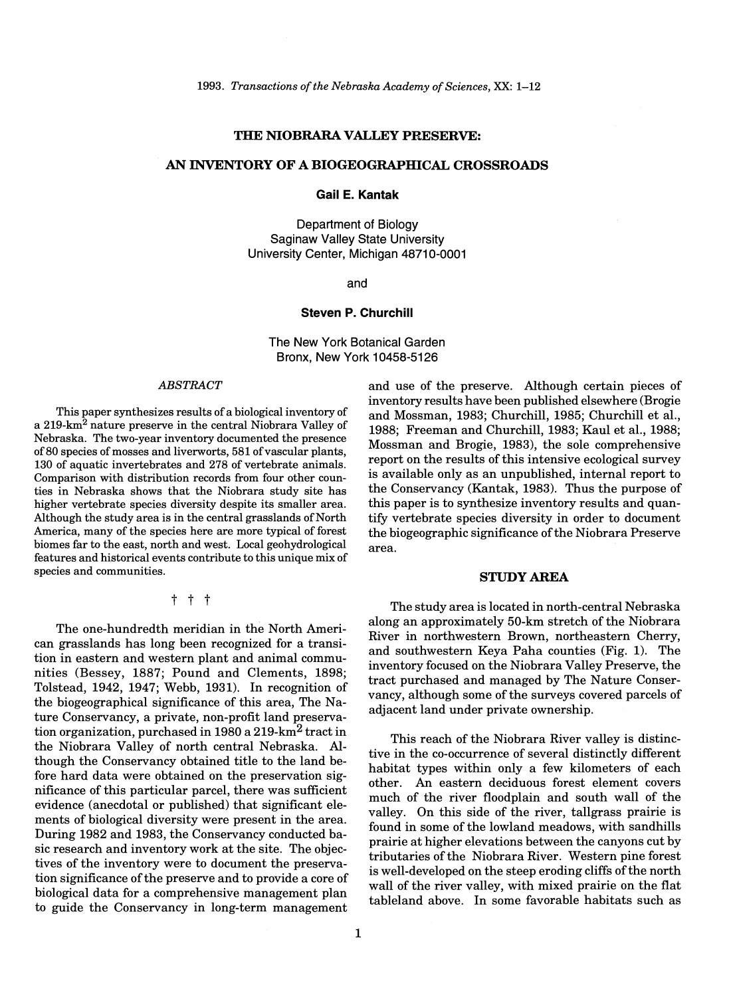#### **THE NIOBRARA VALLEY PRESERVE:**

### **AN INVENTORY OF A BIOGEOGRAPmCAL CROSSROADS**

**Gail E. Kantak** 

Department of Biology Saginaw Valley State University University Center, Michigan 48710-0001

and

#### **Steven P. Churchill**

The New York Botanical Garden Bronx, New York 10458-5126

#### *ABSTRACT*

This paper synthesizes results of a biological inventory of a 219-km2 nature preserve in the central Niobrara Valley of Nebraska. The two-year inventory documented the presence of 80 species of mosses and liverworts, 581 of vascular plants, 130 of aquatic invertebrates and 278 of vertebrate animals. Comparison with distribution records from four other counties in Nebraska shows that the Niobrara study site has higher vertebrate species diversity despite its smaller area. Although the study area is in the central grasslands of North America, many of the species here are more typical of forest biomes far to the east, north and west. Local geohydrological features and historical events contribute to this unique mix of species and communities.

#### t t t

The one-hundredth meridian in the North American grasslands has long been recognized for a transition in eastern and western plant and animal communities (Bessey, 1887; Pound and Clements, 1898; Tolstead, 1942, 1947; Webb, 1931). In recognition of the biogeographical significance of this area, The Nature Conservancy, a private, non-profit land preservation organization, purchased in 1980 a 219-km2 tract in the Niobrara Valley of north central Nebraska. Although the Conservancy obtained title to the land before hard data were obtained on the preservation sigmificance of this particular parcel, there was sufficient evidence (anecdotal or published) that significant elements of biological diversity were present in the area. During 1982 and 1983, the Conservancy conducted basic research and inventory work at the site. The objectives of the inventory were to document the preservation significance of the preserve and to provide a core of biological data for a comprehensive management plan to guide the Conservancy in long-term management

and use of the preserve. Although certain pieces of inventory results have been published elsewhere (Brogie and Mossman, 1983; Churchill, 1985; Churchill et al., 1988; Freeman and Churchill, 1983; Kaul et al., 1988; Mossman and Brogie, 1983), the sole comprehensive report on the results of this intensive ecological survey is available only as an unpublished, internal report to the Conservancy (Kantak, 1983). Thus the purpose of this paper is to synthesize inventory results and quantify vertebrate species diversity in order to document the biogeographic significance of the Niobrara Preserve area.

#### STUDY AREA

The study area is located in north-central Nebraska along an approximately 50-km stretch of the Niobrara River in northwestern Brown, northeastern Cherry, and southwestern Keya Paha counties (Fig. 1). The inventory focused on the Niobrara Valley Preserve, the tract purchased and managed by The Nature Conservancy, although some of the surveys covered parcels of adjacent land under private ownership.

This reach of the Niobrara River valley is distinctive in the co-occurrence of several distinctly different habitat types within only a few kilometers of each other. An eastern deciduous forest element covers much of the river floodplain and south wall of the valley. On this side of the river, tallgrass prairie is found in some of the lowland meadows, with sandhills prairie at higher elevations between the canyons cut by tributaries of the Niobrara River. Western pine forest is well-developed on the steep eroding cliffs of the north wall of the river valley, with mixed prairie on the flat tableland above. In some favorable habitats such as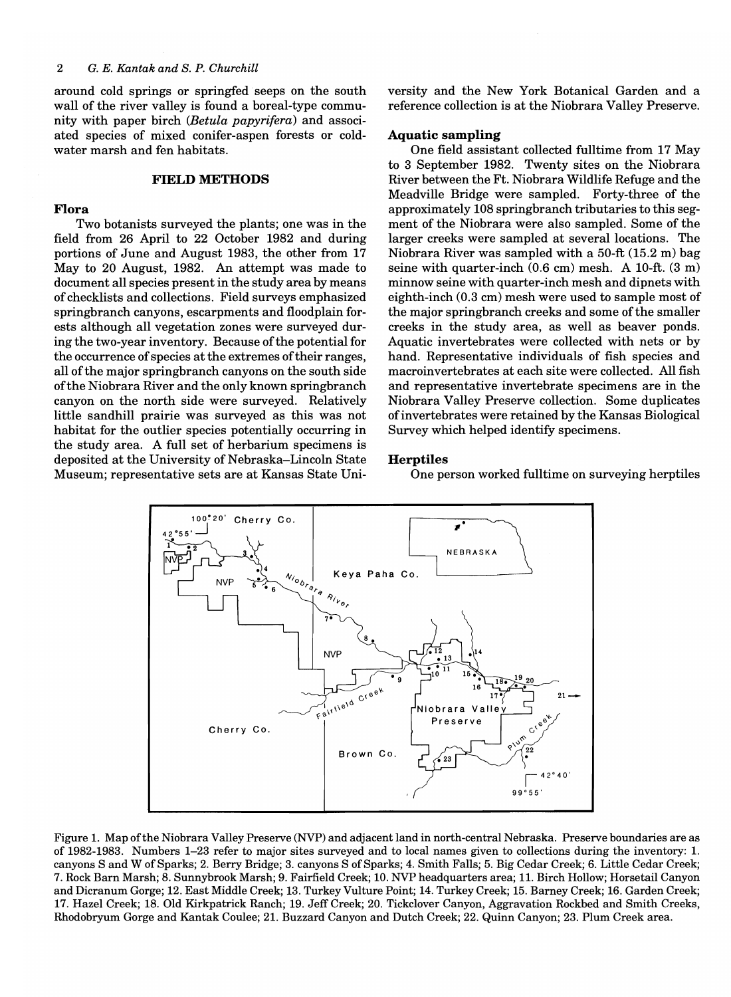around cold springs or springfed seeps on the south wall of the river valley is found a boreal-type community with paper birch *(Betula papyrifera)* and associated species of mixed conifer-aspen forests or coldwater marsh and fen habitats.

#### **FIELD METHODS**

#### **Flora**

Two botanists surveyed the plants; one was in the field from 26 April to 22 October 1982 and during portions of June and August 1983, the other from 17 May to 20 August, 1982. An attempt was made to document all species present in the study area by means of checklists and collections. Field surveys emphasized springbranch canyons, escarpments and floodplain forests although all vegetation zones were surveyed during the two-year inventory. Because of the potential for the occurrence of species at the extremes of their ranges, all of the major springbranch canyons on the south side of the Niobrara River and the only known springbranch canyon on the north side were surveyed. Relatively little sandhill prairie was surveyed as this was not habitat for the outlier species potentially occurring in the study area. A full set of herbarium specimens is deposited at the University of Nebraska-Lincoln State Museum; representative sets are at Kansas State University and the New York Botanical Garden and a reference collection is at the Niobrara Valley Preserve.

#### **Aquatic sampling**

One field assistant collected fulltime from 17 May to 3 September 1982. Twenty sites on the Niobrara River between the Ft. Niobrara Wildlife Refuge and the Meadville Bridge were sampled. Forty-three of the approximately 108 springbranch tributaries to this segment of the Niobrara were also sampled. Some of the larger creeks were sampled at several locations. The Niobrara River was sampled with a 50-ft (15.2 m) bag seine with quarter-inch (0.6 cm) mesh. A 10-ft. (3 m) minnow seine with quarter-inch mesh and dipnets with eighth-inch (0.3 cm) mesh were used to sample most of the major springbranch creeks and some of the smaller creeks in the study area, as well as beaver ponds. Aquatic invertebrates were collected with nets or by hand. Representative individuals of fish species and macroinvertebrates at each site were collected. All fish and representative invertebrate specimens are in the Niobrara Valley Preserve collection. Some duplicates of invertebrates were retained by the Kansas Biological Survey which helped identify specimens.

#### **Herptiles**

One person worked fulltime on surveying herptiles



Figure 1. Map of the Niobrara Valley Preserve (NVP) and adjacent land in north-central Nebraska. Preserve boundaries are as of 1982-1983. Numbers 1-23 refer to major sites surveyed and to local names given to collections during the inventory: 1. canyons S and W of Sparks; 2. Berry Bridge; 3. canyons S of Sparks; 4. Smith Falls; 5. Big Cedar Creek; 6. Little Cedar Creek; 7. Rock Barn Marsh; 8. Sunnybrook Marsh; 9. Fairfield Creek; 10. NVP headquarters area; 11. Birch Hollow; Horsetail Canyon and Dicranum Gorge; 12. East Middle Creek; 13. Turkey Vulture Point; 14. Turkey Creek; 15. Barney Creek; 16. Garden Creek; 17. Hazel Creek; 18. Old Kirkpatrick Ranch; 19. Jeff Creek; 20. Tickclover Canyon, Aggravation Rockbed and Smith Creeks, Rhodobryum Gorge and Kantak Coulee; 21. Buzzard Canyon and Dutch Creek; 22. Quinn Canyon; 23. Plum Creek area.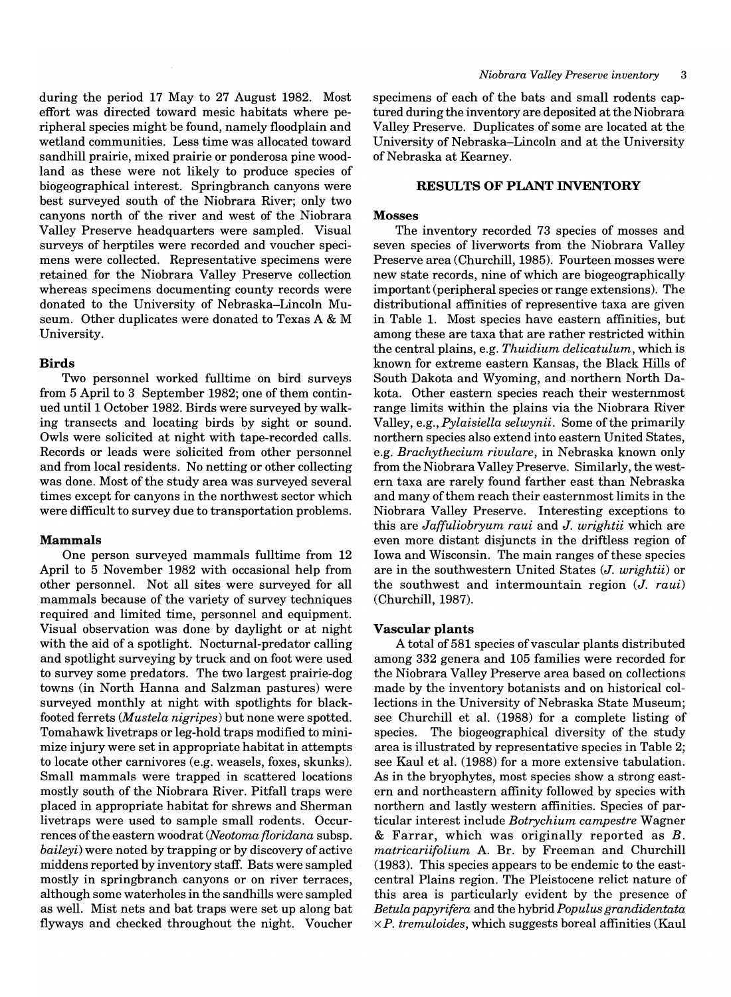during the period 17 May to 27 August 1982. Most effort was directed toward mesic habitats where peripheral species might be found, namely floodplain and wetland communities. Less time was allocated toward sandhill prairie, mixed prairie or ponderosa pine woodland as these were not likely to produce species of biogeographical interest. Springbranch canyons were best surveyed south of the Niobrara River; only two canyons north of the river and west of the Niobrara Valley Preserve headquarters were sampled. Visual surveys of herptiles were recorded and voucher specimens were collected. Representative specimens were retained for the Niobrara Valley Preserve collection whereas specimens documenting county records were donated to the University of Nebraska-Lincoln Museum. Other duplicates were donated to Texas A & M University.

#### Birds

Two personnel worked fulltime on bird surveys from 5 April to 3 September 1982; one of them continued until 1 October 1982. Birds were surveyed by walking transects and locating birds by sight or sound. Owls were solicited at night with tape-recorded calls. Records or leads were solicited from other personnel and from local residents. No netting or other collecting was done. Most of the study area was surveyed several times except for canyons in the northwest sector which were difficult to survey due to transportation problems.

#### Mammals

One person surveyed mammals fulltime from 12 April to 5 November 1982 with occasional help from other personnel. Not all sites were surveyed for all mammals because of the variety of survey techniques required and limited time, personnel and equipment. Visual observation was done by daylight or at night with the aid of a spotlight. Nocturnal-predator calling and spotlight surveying by truck and on foot were used to survey some predators. The two largest prairie-dog towns (in North Hanna and Salzman pastures) were surveyed monthly at night with spotlights for blackfooted ferrets *(Mus tela nigripes)* but none were spotted. Tomahawk livetraps or leg-hold traps modified to minimize injury were set in appropriate habitat in attempts to locate other carnivores (e.g. weasels, foxes, skunks). Small mammals were trapped in scattered locations mostly south of the Niobrara River. Pitfall traps were placed in appropriate habitat for shrews and Sherman livetraps were used to sample small rodents. Occurrences of the eastern woodrat *(Neotoma fioridana* subsp. *baileyi)* were noted by trapping or by discovery of active middens reported by inventory staff. Bats were sampled mostly in springbranch canyons or on river terraces, although some waterholes in the sandhills were sampled as well. Mist nets and bat traps were set up along bat flyways and checked throughout the night. Voucher

specimens of each of the bats and small rodents captured during the inventory are deposited at the Niobrara Valley Preserve. Duplicates of some are located at the University of Nebraska-Lincoln and at the University of Nebraska at Kearney.

### RESULTS OF PLANT INVENTORY

### Mosses

The inventory recorded 73 species of mosses and seven species of liverworts from the Niobrara Valley Preserve area (Churchill, 1985). Fourteen mosses were new state records, nine of which are biogeographically important (peripheral species or range extensions). The distributional affinities of representive taxa are given in Table 1. Most species have eastern affinities, but among these are taxa that are rather restricted within the central plains, e.g. *Thuidium delicatulum,* which is known for extreme eastern Kansas, the Black Hills of South Dakota and Wyoming, and northern North Dakota. Other eastern species reach their westernmost range limits within the plains via the Niobrara River Valley, e.g., *Pylaisiella selwynii.* Some of the primarily northern species also extend into eastern United States, e.g. *Brachythecium rivulare,* in Nebraska known only from the Niobrara Valley Preserve. Similarly, the western taxa are rarely found farther east than Nebraska and many of them reach their easternmost limits in the Niobrara Valley Preserve. Interesting exceptions to this are *Jaffuliobryum raui* and *J. wrightii* which are even more distant disjuncts in the driftless region of Iowa and Wisconsin. The main ranges of these species are in the southwestern United States *(J. wrightii)* or the southwest and intermountain region *(J. raui)*  (Churchill, 1987).

### Vascular plants

A total of 581 species of vascular plants distributed among 332 genera and 105 families were recorded for the Niobrara Valley Preserve area based on collections made by the inventory botanists and on historical collections in the University of Nebraska State Museum; see Churchill et al. (1988) for a complete listing of species. The biogeographical diversity of the study area is illustrated by representative species in Table 2; see Kaul et al. (1988) for a more extensive tabulation. As in the bryophytes, most species show a strong eastern and northeastern affinity followed by species with northern and lastly western affinities. Species of particular interest include *Botrychium campestre* Wagner & Farrar, which was originally reported as *B. matricariifolium* A. Br. by Freeman and Churchill (1983). This species appears to be endemic to the eastcentral Plains region. The Pleistocene relict nature of this area is particularly evident by the presence of *Betula papyrifera* and the hybrid *Populus grandidentata xP. tremuloides,* which suggests boreal affinities (Kaul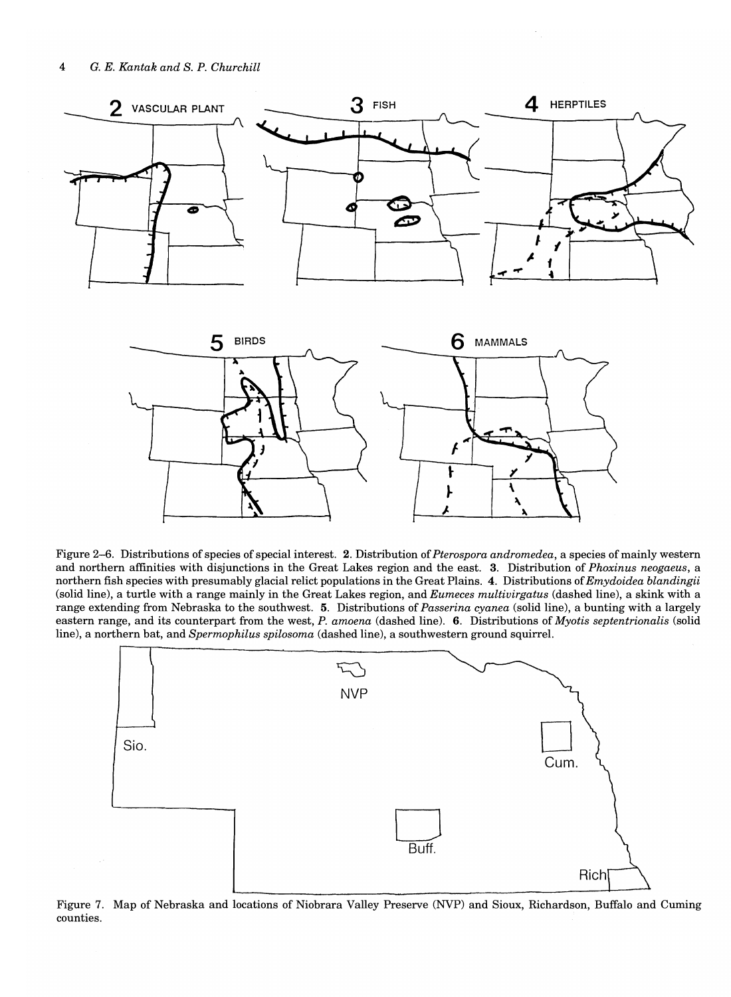



Figure 2-6. Distributions of species of special interest. 2. Distribution of *Pterospora andromedea,* a species of mainly western and northern affinities with disjunctions in the Great Lakes region and the east. 3. Distribution of *Phoxinus neogaeus,* a northern fish species with presumably glacial relict populations in the Great Plains. 4. Distributions of *Emydoidea blandingii*  (solid line), a turtle with a range mainly in the Great Lakes region, and *Eumeces multivirgatus* (dashed line), a skink with a range extending from Nebraska to the southwest. 5. Distributions of *Passerina cyanea* (solid line), a bunting with a largely eastern range, and its counterpart from the west, *P. amoena* (dashed line). 6. Distributions of *Myotis septentrionalis* (solid line), a northern bat, and *Spermophilus spilosoma* (dashed line), a southwestern ground squirrel.



Figure 7. Map of Nebraska and locations of Niobrara Valley Preserve (NVP) and Sioux, Richardson, Buffalo and Cuming counties.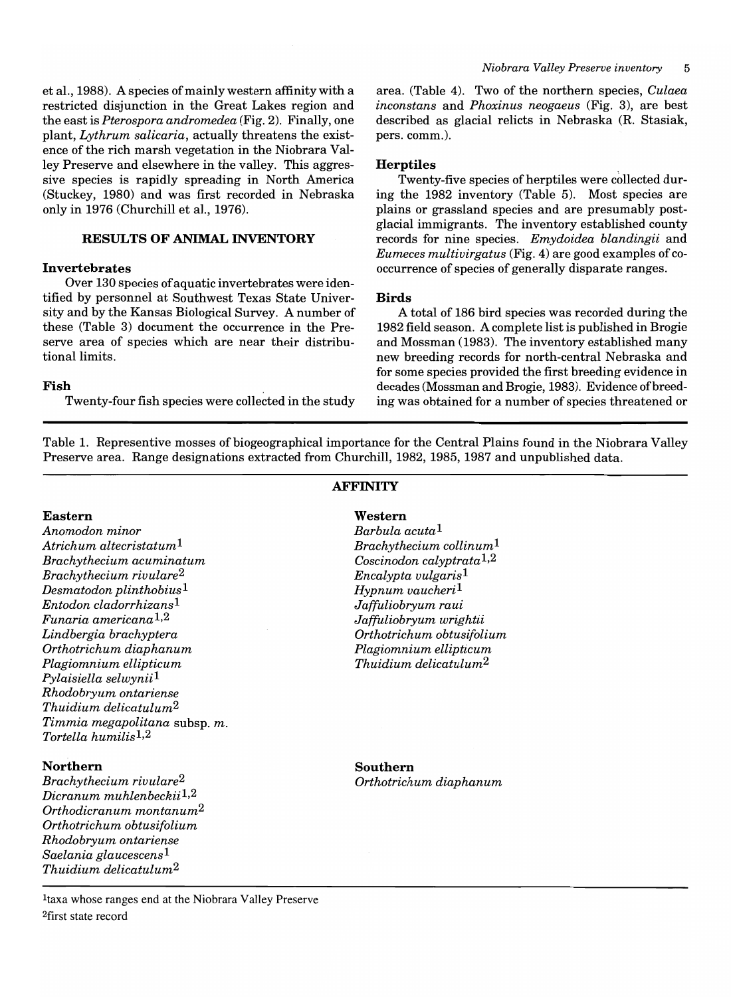et aI., 1988). A species of mainly western affinity with a restricted disjunction in the Great Lakes region and the east is *Pterospora andromedea* (Fig. 2). Finally, one plant, *Lythrum salicaria,* actually threatens the existence of the rich marsh vegetation in the Niobrara Valley Preserve and elsewhere in the valley. This aggressive species is rapidly spreading in North America (Stuckey, 1980) and was first recorded in Nebraska only in 1976 (Churchill et aI., 1976).

### **RESULTS OF ANIMAL INVENTORY**

#### **Invertebrates**

Over 130 species of aquatic invertebrates were identified by personnel at Southwest Texas State University and by the Kansas Biological Survey. A number of these (Table 3) document the occurrence in the Preserve area of species which are near their distributional limits.

### **Fish**

Twenty-four fish species were collected in the study

area. (Table 4). Two of the northern species, *Culaea inconstans* and *Phoxinus neogaeus* (Fig. 3), are best described as glacial relicts in Nebraska (R. Stasiak, pers. comm.).

#### **Herptiles**

Twenty-five species of herptiles were collected during the 1982 inventory (Table 5). Most species are plains or grassland species and are presumably postglacial immigrants. The inventory established county records for nine species. *Emydoidea blandingii* and *Eumeces multivirgatus* (Fig. 4) are good examples of cooccurrence of species of generally disparate ranges.

#### **Birds**

A total of 186 bird species was recorded during the  $1982$  field season. A complete list is published in Brogie and Mossman (1983). The inventory established many new breeding records for north-central Nebraska and for some species provided the first breeding evidence in decades (Mossman and Brogie, 1983). Evidence of breeding was obtained for a number of species threatened or

Table 1. Representive mosses of biogeographical importance for the Central Plains found in the Niobrara Valley Preserve area. Range designations extracted from Churchill, 1982, 1985, 1987 and unpublished data.

**AFFINITY** 

#### **Eastern**

*Anomodon minor Atrichum altecristatum1 Brachythecium acuminatum Brachythecium rivulare2 Desmatodon plinthobius1 Entodon cladorrhizans1 Funaria americana 1,2 Lindbergia brachyptera Orthotrichum diaphanum Plagiomnium ellipticum Pylaisiella selwynii1 Rhodobryum ontariense Thuidium delicatulum2 Timmia megapolitana* subsp. *m. Tortella humilis1,2* 

### **Northern**

*Brachythecium rivulare2 Dicranum muhlenbeckii1,2 Orthodicranum montanum2 Orthotrichum obtusifolium Rhodobryum ontariense Saelania glaucescens1 Thuidium delicatulum2* 

**Southern**  *Orthotrichum diaphanum* 

Itaxa whose ranges end at the Niobrara Valley Preserve 2first state record

## **Western**

*Barbula acuta1 Brachythecium collinum1 Coscinodon calyptrata1*,2 *Encalypta vulgaris1 Hypnum vaucheri1 Jaffuliobryum raui Jaffuliobryum wrightii Orthotrichum obtusifolium Plagiomnium ellipticum Thuidium delicatulum2*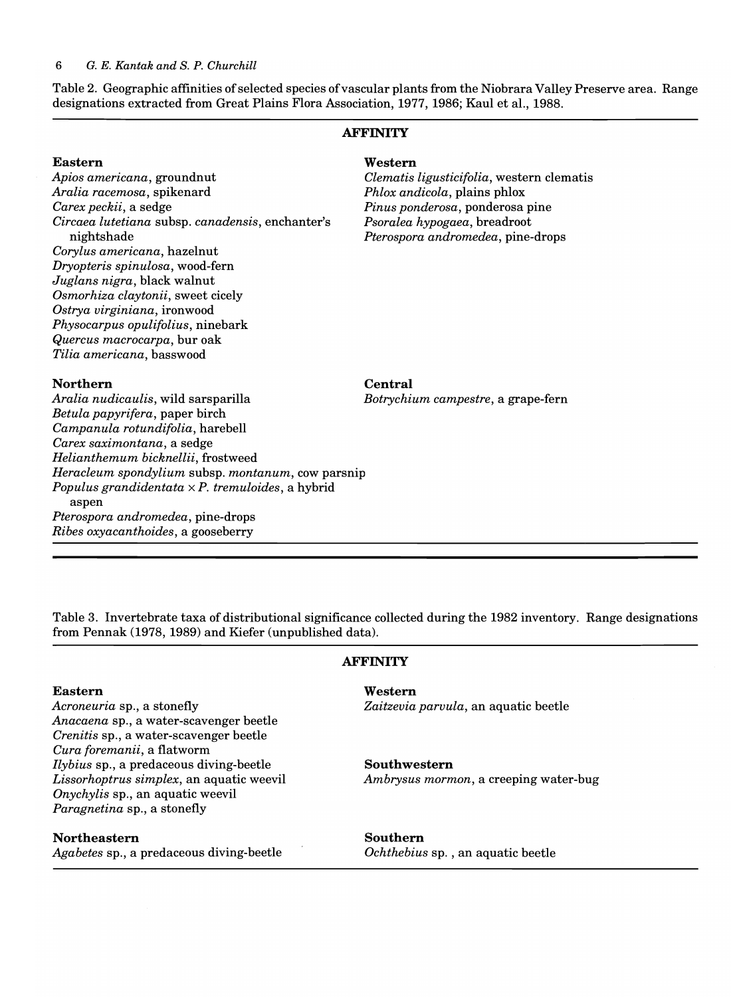Table 2. Geographic affinities of selected species of vascular plants from the Niobrara Valley Preserve area. Range designations extracted from Great Plains Flora Association, 1977, 1986; Kaul et aI., 1988.

### **AFFINITY**

### **Eastern**  *Apios americana,* groundnut *Aralia racemosa,* spikenard *Carex peckii,* a sedge *Circaea lutetiana* subsp. *canadensis,* enchanter's nightshade *Corylus americana,* hazelnut *Dryopteris spinulosa,* wood-fern *Juglans nigra,* black walnut *Osmorhiza claytonii,* sweet cicely *Ostrya virginiana,* ironwood *Physocarpus opulifolius,* ninebark *Quercus macrocarpa,* bur oak *Tilia americana,* basswood

#### **Western**

*Clematis ligusticifolia,* western clematis *Phlox andicola,* plains phlox *Pinus ponderosa,* ponderosa pine *Psora lea hypogaea,* breadroot *Pterospora andromedea,* pine-drops

#### **Northern**

**Central** 

*Aralia nudicaulis,* wild sarsparilla *Botrychium campestre,* a grape-fern *Betula papyrifera,* paper birch *Campanula rotundifolia,* harebell *Carex saximontana,* a sedge *Helianthemum bicknellii,* frostweed *Heracleum spondylium* subsp. *montanum,* cow parsnip *Populus grandidentata* x *P. tremuloides,* a hybrid aspen *Pterospora andromedea,* pine-drops *Ribes oxyacanthoides,* a gooseberry

Table 3. Invertebrate taxa of distributional significance collected during the 1982 inventory. Range designations from Pennak (1978, 1989) and Kiefer (unpublished data).

#### **Eastern**

*Acroneuria* sp., a stonefly *Anacaena* sp., a water-scavenger beetle *Crenitis* sp., a water-scavenger beetle *Cura foremanii,* a flatworm *Ilybius* sp., a predaceous diving-beetle *Lissorhoptrus simplex,* an aquatic weevil *Onychylis* sp., an aquatic weevil *Paragnetina* sp., a stonefly

#### **Northeastern**

*Agabetes* sp., a predaceous diving-beetle

#### **AFFINITY**

#### **Western**

*Zaitzevia parvula,* an aquatic beetle

#### **Southwestern**

*Ambrysus mormon,* a creeping water-bug

**Southern** 

*Ochthebius* sp. , an aquatic beetle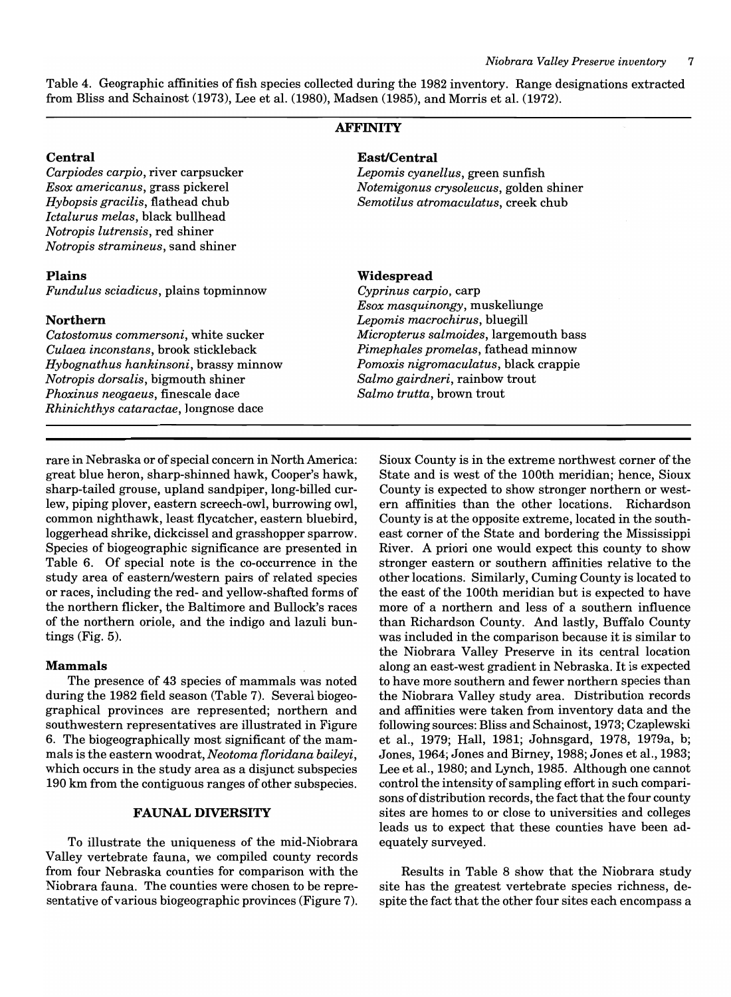Table 4. Geographic affinities offish species collected during the 1982 inventory. Range designations extracted from Bliss and Schainost (1973), Lee et aI. (1980), Madsen (1985), and Morris et aI. (1972).

### **AFFINITY**

*Carpiodes carpio, river carpsucker Esox american us,* grass pickerel *Hybopsis gracilis,* flathead chub *Ictalurus melas,* black bullhead *Notropis lutrensis,* red shiner *Notropis stramineus,* sand shiner

#### **Plains**

*Fundulus sciadicus,* plains topminnow

#### **Northern**

*Catostomus commersoni,* white sucker *Culaea inconstans,* brook stickleback *Hybognathus hankinsoni,* brassy minnow *Notropis dorsalis,* bigmouth shiner *Phoxinus neogaeus,* finescale dace *Rhinichthys cataractae,* longnose dace

#### **Central East/Central**

*Lepomis cyanellus,* green sunfish *Notemigonus crysoleucus,* golden shiner *Semotilus atromaculatus,* creek chub

### **Widespread**

*Cyprinus carpio,* carp *Esox masquinongy,* muskellunge *Lepomis macrochirus,* bluegill *Micropterus salmoides,* largemouth bass *Pimephales promelas,* fathead minnow *Pomoxis nigromaculatus,* black crappie *Salmo gairdneri,* rainbow trout *Salmo trutta,* brown trout

rare in Nebraska or of special concern in North America: great blue heron, sharp-shinned hawk, Cooper's hawk, sharp-tailed grouse, upland sandpiper, long-billed curlew, piping plover, eastern screech-owl, burrowing owl, common nighthawk, least flycatcher, eastern bluebird, loggerhead shrike, dickcissel and grasshopper sparrow. Species of biogeographic significance are presented in Table 6. Of special note is the co-occurrence in the study area of eastern/western pairs of related species or races, including the red- and yellow-shafted forms of the northern flicker, the Baltimore and Bullock's races of the northern oriole, and the indigo and lazuli buntings (Fig. 5).

#### **Mammals**

The presence of 43 species of mammals was noted during the 1982 field season (Table 7). Several biogeographical provinces are represented; northern and southwestern representatives are illustrated in Figure 6. The biogeographically most significant of the mammals is the eastern woodrat, *Neotoma floridana baileyi,*  which occurs in the study area as a disjunct subspecies 190 km from the contiguous ranges of other subspecies.

#### **FAUNAL DIVERSITY**

To illustrate the uniqueness of the mid-Niobrara Valley vertebrate fauna, we compiled county records from four Nebraska counties for comparison with the Niobrara fauna. The counties were chosen to be representative of various biogeographic provinces (Figure 7). Sioux County is in the extreme northwest corner of the State and is west of the 100th meridian; hence, Sioux County is expected to show stronger northern or western affinities than the other locations. Richardson County is at the opposite extreme, located in the southeast corner of the State and bordering the Mississippi River. A priori one would expect this county to show stronger eastern or southern affinities relative to the other locations. Similarly, Cuming County is located to the east of the 100th meridian but is expected to have more of a northern and less of a southern influence than Richardson County. And lastly, Buffalo County was included in the comparison because it is similar to the Niobrara Valley Preserve in its central location along an east-west gradient in Nebraska. It is expected to have more southern and fewer northern species than the Niobrara Valley study area. Distribution records and affinities were taken from inventory data and the following sources: Bliss and Schainost, 1973; Czaplewski et aI., 1979; Hall, 1981; Johnsgard, 1978, 1979a, b; Jones, 1964; Jones and Birney, 1988; Jones et aI., 1983; Lee et aI., 1980; and Lynch, 1985. Although one cannot control the intensity of sampling effort in such comparisons of distribution records, the fact that the four county sites are homes to or close to universities and colleges leads us to expect that these counties have been adequately surveyed.

Results in Table 8 show that the Niobrara study site has the greatest vertebrate species richness, despite the fact that the other four sites each encompass a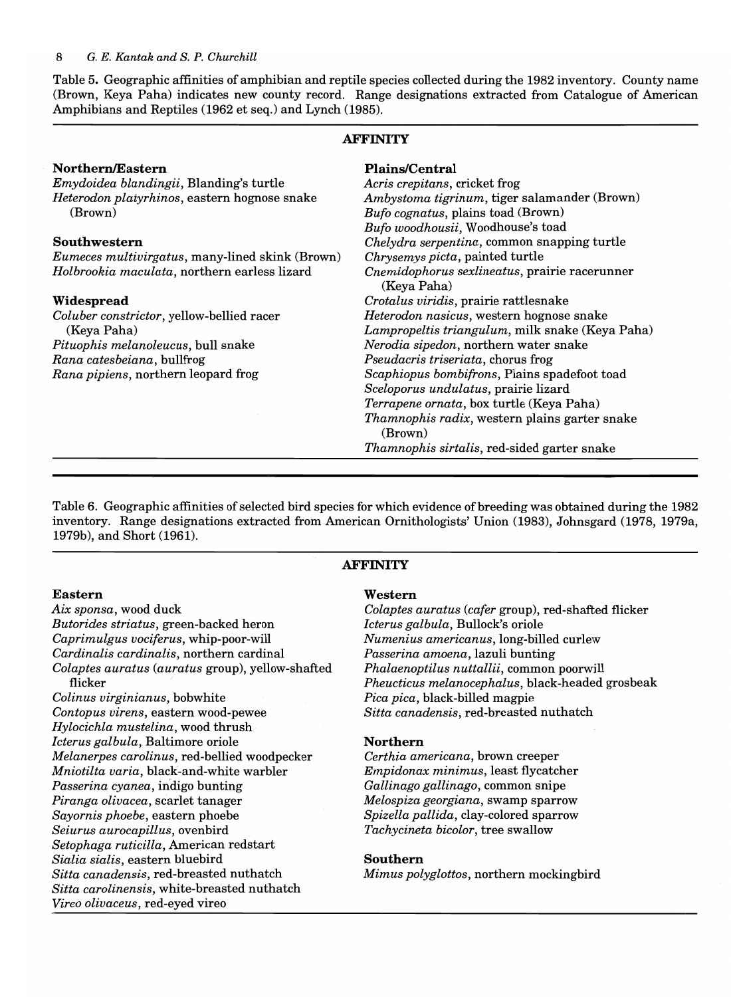Table 5. Geographic affinities of amphibian and reptile species collected during the 1982 inventory. County name (Brown, Keya Paha) indicates new county record. Range designations extracted from Catalogue of American Amphibians and Reptiles (1962 et seq.) and Lynch (1985).

### **AFFINITY**

| Northern/Eastern                                        | <b>Plains/Central</b>                                            |
|---------------------------------------------------------|------------------------------------------------------------------|
| Emydoidea blandingii, Blanding's turtle                 | Acris crepitans, cricket frog                                    |
| Heterodon platyrhinos, eastern hognose snake            | Ambystoma tigrinum, tiger salamander (Brown)                     |
| (Brown)                                                 | Bufo cognatus, plains toad (Brown)                               |
|                                                         | Bufo woodhousii, Woodhouse's toad                                |
| Southwestern                                            | Chelydra serpentina, common snapping turtle                      |
| <i>Eumeces multivirgatus</i> , many-lined skink (Brown) | Chrysemys picta, painted turtle                                  |
| Holbrookia maculata, northern earless lizard            | Cnemidophorus sexlineatus, prairie racerunner<br>(Keya Paha)     |
| Widespread                                              | Crotalus viridis, prairie rattlesnake                            |
| Coluber constrictor, yellow-bellied racer               | Heterodon nasicus, western hognose snake                         |
| (Keya Paha)                                             | Lampropeltis triangulum, milk snake (Keya Paha)                  |
| Pituophis melanoleucus, bull snake                      | Nerodia sipedon, northern water snake                            |
| Rana catesbeiana, bullfrog                              | Pseudacris triseriata, chorus frog                               |
| Rana pipiens, northern leopard frog                     | Scaphiopus bombifrons, Plains spadefoot toad                     |
|                                                         | Sceloporus undulatus, prairie lizard                             |
|                                                         | Terrapene ornata, box turtle (Keya Paha)                         |
|                                                         | <i>Thamnophis radix</i> , western plains garter snake<br>(Brown) |
|                                                         | <i>Thamnophis sirtalis, red-sided garter snake</i>               |

Table 6. Geographic affinities of selected bird species for which evidence of breeding was obtained during the 1982 inventory. Range designations extracted from American Ornithologists' Union (1983), Johnsgard (1978, 1979a, 1979b), and Short (1961).

### **AFFINITY**

#### **Eastern**

*Aix sponsa,* wood duck *Butorides striatus,* green-backed heron *Caprimulgus vociferus,* whip-poor-will *Cardinalis cardinalis,* northern cardinal *Colaptes auratus (auratus* group), yellow-shafted flicker

*Colinus virginianus,* bobwhite *Contopus virens,* eastern wood-pewee *Hylocichla mustelina,* wood thrush *Icterus galbula,* Baltimore oriole *Melanerpes carolinus,* red-bellied woodpecker *Mniotilta varia,* black-and-white warbler *Passerina cyanea,* indigo bunting *Piranga olivacea,* scarlet tanager *Sayornis phoebe,* eastern phoebe *Seiurus aurocapillus,* ovenbird *Setophaga ruticilla,* American redstart *Sialia sialis,* eastern bluebird *Sitta canadensis,* red-breasted nuthatch *Sitta carolinensis,* white-breasted nuthatch *Vireo olivaceus,* red-eyed vireo

#### **Western**

*Colaptes auratus (cafer* group), red-shafted flicker *Icterus galbula,* Bullock's oriole *Numenius americanus,* long-billed curlew *Passerina amoena,* lazuli bunting *Phalaenoptilus nuttallii,* common poorwill *Pheucticus melanocephalus,* black-headed grosbeak *Pica pica,* black-billed magpie *Sitta canadensis,* red-breasted nuthatch

#### **Northern**

*Certhia americana,* brown creeper *Empidonax minimus,* least flycatcher *Gallinago gallinago,* common snipe *Melospiza georgiana,* swamp sparrow *Spizella pallida,* clay-colored sparrow *Tachycineta bicolor,* tree swallow

#### **Southern**

*Mimus polyglottos,* northern mockingbird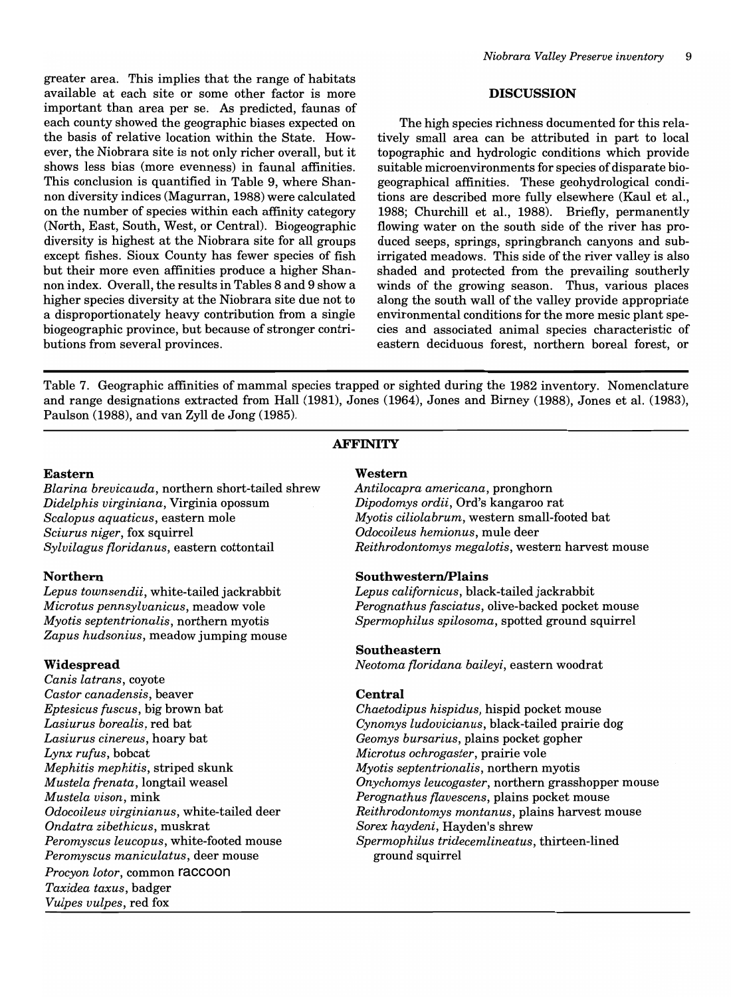greater area. This implies that the range of habitats available at each site or some other factor is more important than area per se. As predicted, faunas of each county showed the geographic biases expected on the basis of relative location within the State. However, the Niobrara site is not only richer overall, but it shows less bias (more evenness) in faunal affinities. This conclusion is quantified in Table 9, where Shannon diversity indices (Magurran, 1988) were calculated on the number of species within each affinity category (North, East, South, West, or Central). Biogeographic diversity is highest at the Niobrara site for all groups except fishes. Sioux County has fewer species of fish but their more even affinities produce a higher Shannon index. Overall, the results in Tables 8 and 9 show a higher species diversity at the Niobrara site due not to a disproportionately heavy contribution from a single biogeographic province, but because of stronger contributions from several provinces.

#### **DISCUSSION**

The high species richness documented for this relatively small area can be attributed in part to local topographic and hydrologic conditions which provide suitable microenvironments for species of disparate biogeographical affinities. These geohydrological conditions are described more fully elsewhere (Kaul et aI., 1988; Churchill et aI., 1988). Briefly, permanently flowing water on the south side of the river has produced seeps, springs, springbranch canyons and subirrigated meadows. This side of the river valley is also shaded and protected from the prevailing southerly winds of the growing season. Thus, various places along the south wall of the valley provide appropriate environmental conditions for the more mesic plant species and associated animal species characteristic of eastern deciduous forest, northern boreal forest, or

Table 7. Geographic affinities of mammal species trapped or sighted during the 1982 inventory. Nomenclature and range designations extracted from Hall (1981), Jones (1964), Jones and Birney (1988), Jones et aI. (1983), Paulson (1988), and van Zyll de Jong (1985).

### **AFFINITY**

#### **Eastern**

*Blarina brevicauda,* northern short-tailed shrew *Didelphis virginiana,* Virginia opossum *Scalopus aquaticus,* eastern mole *Sciurus niger,* fox squirrel *Sylvilagus floridanus,* eastern cottontail

### **Northern**

*Lepus townsendii,* white-tailed jackrabbit *Microtus pennsylvanicus,* meadow vole *Myotis septentrionalis*, northern myotis *Zapus hudsonius,* meadow jumping mouse

### **Widespread**

*Canis latrans,* coyote *Castor canadensis,* beaver *Eptesicus fuscus,* big brown bat *Lasiurus borealis,* red bat *Lasiurus cine reus* , hoary bat *Lynx rufus,* bobcat *Mephitis mephitis,* striped skunk *Mustela frenata,* longtail weasel *Mustela vison,* mink *Odocoileus virginianus,* white-tailed deer *Ondatra zibethicus,* muskrat *Peromyscus leucopus,* white-footed mouse *Peromyscus maniculatus,* deer mouse *Procyon lotor,* common **raccoon**  *Taxidea taxus,* badger *Vulpes vulpes,* red fox

### **Western**

*Antilocapra americana,* pronghorn *Dipodomys ordii,* Ord's kangaroo rat *Myotis ciliolabrum,* western small-footed bat *Odocoileus hemionus,* mule deer *Reithrodontomys megalotis,* western harvest mouse

### **SouthwesternlPlains**

*Lepus californicus,* black-tailed jackrabbit *Perognathus fasciatus,* olive-backed pocket mouse *Spermophilus spilosoma,* spotted ground squirrel

#### **Southeastern**

*Neotoma floridana baileyi,* eastern woodrat

### **Central**

*Chaetodipus hispidus,* hispid pocket mouse *Cynomys ludovicianus,* black-tailed prairie dog *Geomys bursarius,* plains pocket gopher *Microtus ochrogaster,* prairie vole *Myotis septentrionalis*, northern myotis *Onychomys leucogaster,* northern grasshopper mouse *Perognathus flavescens,* plains pocket mouse *Reithrodontomys montanus,* plains harvest mouse *Sorex haydeni,* Hayden's shrew *Spermophilus tridecemlineatus,* thirteen-lined ground squirrel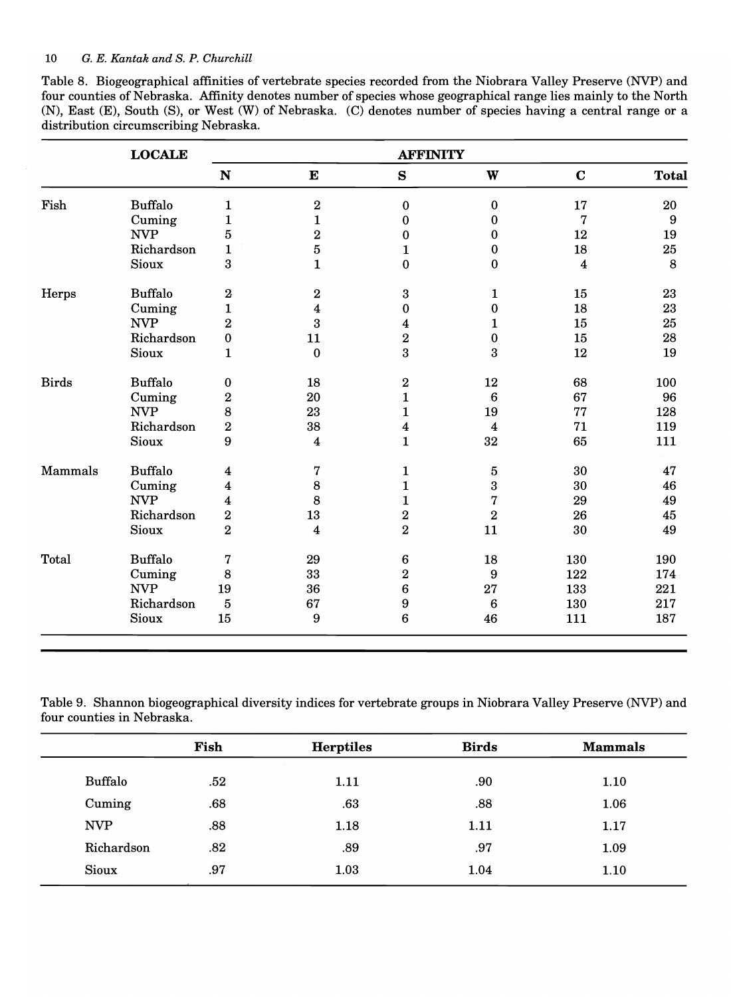|                                       | Table 8. Biogeographical affinities of vertebrate species recorded from the Niobrara Valley Preserve (NVP) and  |
|---------------------------------------|-----------------------------------------------------------------------------------------------------------------|
|                                       | four counties of Nebraska. Affinity denotes number of species whose geographical range lies mainly to the North |
|                                       | (N), East (E), South (S), or West (W) of Nebraska. (C) denotes number of species having a central range or a    |
| distribution circumscribing Nebraska. |                                                                                                                 |

|              | <b>LOCALE</b>          | <b>AFFINITY</b>     |                         |                         |                 |                         |              |
|--------------|------------------------|---------------------|-------------------------|-------------------------|-----------------|-------------------------|--------------|
|              |                        | N                   | ${\bf E}$               | S                       | W               | $\mathbf C$             | <b>Total</b> |
| Fish         | <b>Buffalo</b>         | $\mathbf{1}$        | $\bf 2$                 | $\pmb{0}$               | 0               | 17                      | 20           |
|              | Cuming                 | $\mathbf{1}$        | $\mathbf{1}$            | $\bf{0}$                | $\bf{0}$        | $\mathbf 7$             | 9            |
|              | <b>NVP</b>             | 5                   | $\overline{2}$          | 0                       | $\bf{0}$        | 12                      | 19           |
|              | Richardson             | $\mathbf{1}$        | 5                       | $\mathbf{1}$            | 0               | 18                      | 25           |
|              | <b>Sioux</b>           | 3                   | $\mathbf{1}$            | $\bf{0}$                | $\bf{0}$        | $\overline{\mathbf{4}}$ | 8            |
| Herps        | <b>Buffalo</b>         | $\boldsymbol{2}$    | $\bf 2$                 | $\bf{3}$                | 1               | 15                      | 23           |
|              | Cuming                 | $\mathbf{1}$        | $\boldsymbol{4}$        | $\pmb{0}$               | $\bf{0}$        | 18                      | 23           |
|              | <b>NVP</b>             | $\overline{2}$      | 3                       | $\overline{\mathbf{4}}$ | 1               | 15                      | 25           |
|              | Richardson             | $\mathbf 0$         | 11                      | $\bf 2$                 | $\bf{0}$        | 15                      | 28           |
|              | <b>Sioux</b>           | $\mathbf{1}$        | $\bf{0}$                | 3                       | 3               | 12                      | 19           |
| <b>Birds</b> | <b>Buffalo</b>         | 0                   | 18                      | $\bf{2}$                | 12              | 68                      | 100          |
|              | Cuming                 | $\bf{2}$            | 20                      | $\mathbf{1}$            | $6\phantom{1}6$ | 67                      | 96           |
|              | <b>NVP</b>             | 8                   | 23                      | $\mathbf{1}$            | 19              | 77                      | 128          |
|              | Richardson             | $\overline{2}$      | 38                      | $\overline{\mathbf{4}}$ | 4               | 71                      | 119          |
|              | <b>Sioux</b>           | 9                   | $\overline{\mathbf{4}}$ | $\mathbf{1}$            | 32              | 65                      | 111          |
| Mammals      | <b>Buffalo</b>         | $\overline{\bf{4}}$ | 7                       | 1                       | 5               | 30                      | 47           |
|              | Cuming                 | 4                   | 8                       | $\mathbf{1}$            | 3               | 30                      | 46           |
|              | <b>NVP</b>             | 4                   | 8                       | $\mathbf{1}$            | 7               | 29                      | 49           |
|              | Richardson             | $\overline{2}$      | 13                      | $\overline{2}$          | $\overline{2}$  | 26                      | 45           |
|              | Sioux                  | $\overline{2}$      | $\overline{\mathbf{4}}$ | $\overline{2}$          | 11              | 30                      | 49           |
| Total        | <b>Buffalo</b>         | 7                   | 29                      | 6                       | 18              | 130                     | 190          |
|              | Cuming                 | 8                   | 33                      | $\bf{2}$                | 9               | 122                     | 174          |
|              | <b>NVP</b>             | 19                  | 36                      | $\bf 6$                 | 27              | 133                     | 221          |
|              | Richardson             | 5                   | 67                      | $\boldsymbol{9}$        | $\bf 6$         | 130                     | 217          |
|              | $\operatorname{Sioux}$ | 15                  | $\boldsymbol{9}$        | $\bf 6$                 | 46              | 111                     | 187          |

Table 9. Shannon biogeographical diversity indices for vertebrate groups in Niobrara Valley Preserve (NVP) and four counties in Nebraska.

|            | Fish | <b>Herptiles</b> | <b>Birds</b> | <b>Mammals</b> |
|------------|------|------------------|--------------|----------------|
| Buffalo    | .52  | 1.11             | .90          | 1.10           |
| Cuming     | .68  | .63              | .88          | 1.06           |
| <b>NVP</b> | .88  | 1.18             | 1.11         | 1.17           |
| Richardson | .82  | .89              | .97          | 1.09           |
| Sioux      | .97  | 1.03             | 1.04         | 1.10           |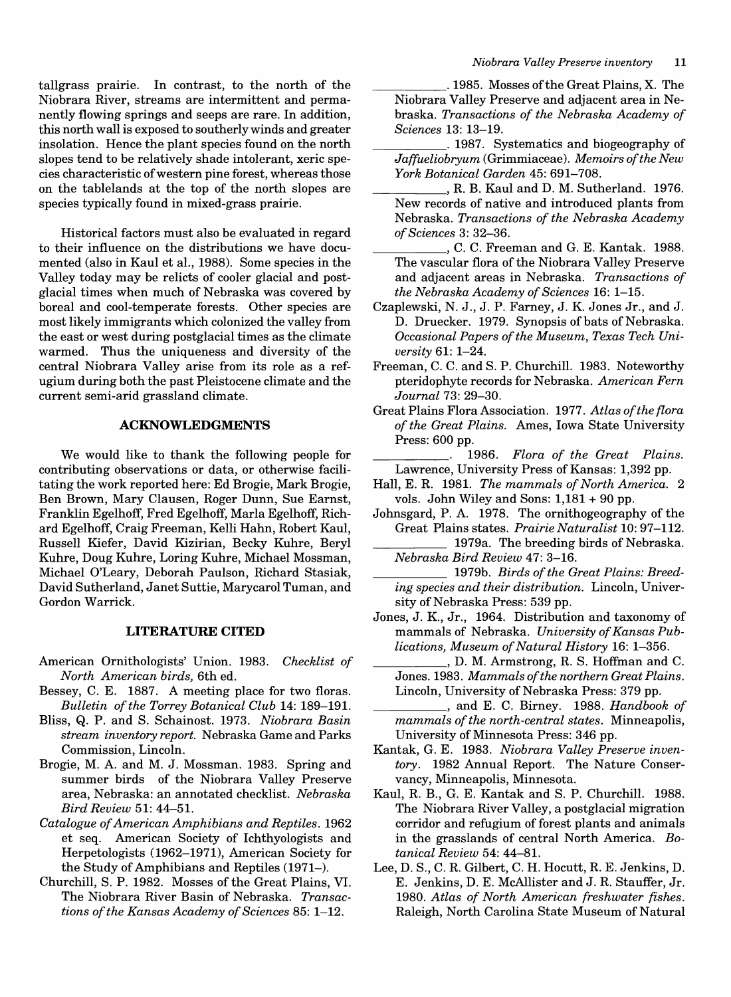tallgrass prairie. In contrast, to the north of the Niobrara River, streams are intermittent and permanently flowing springs and seeps are rare. In addition, this north wa11 is exposed to southerly winds and greater insolation. Hence the plant species found on the north slopes tend to be relatively shade intolerant, xeric species characteristic of western pine forest, whereas those on the tablelands at the top of the north slopes are species typically found in mixed-grass prairie.

Historica1 factors must also be evaluated in regard to their influence on the distributions we have documented (also in Kaul et aI., 1988). Some species in the Valley today may be relicts of cooler glacial and postglacial times when much of Nebraska was covered by boreal and cool-temperate forests. Other species are most likely immigrants which colonized the valley from the east or west during postglacial times as the climate warmed. Thus the uniqueness and diversity of the central Niobrara Valley arise from its role as a refugium during both the past Pleistocene climate and the current semi-arid grassland climate.

### **ACKNOWLEDGMENTS**

We would like to thank the following people for contributing observations or data, or otherwise facilitating the work reported here: Ed Brogie, Mark Brogie, Ben Brown, Mary Clausen, Roger Dunn, Sue Earnst, Franklin Egelhoff, Fred Egelhoff, Marla Egelhoff, Richard Egelhoff, Craig Freeman, Kelli Hahn, Robert Kaul, Russell Kiefer, David Kizirian, Becky Kuhre, Beryl Kuhre, Doug Kuhre, Loring Kuhre, Michael Mossman, Michael O'Leary, Deborah Paulson, Richard Stasiak, David Sutherland, Janet Suttie, Marycarol Tuman, and Gordon Warrick.

#### **LITERATURE CITED**

- American Ornithologists' Union. 1983. *Checklist of North American birds,* 6th ed.
- Bessey, C. E. 1887. A meeting place for two floras. *Bulletin of the Torrey Botanical Club* 14: 189-191.
- Bliss, Q. P. and S. Schainost. 1973. *Niobrara Basin stream inventory report.* Nebraska Game and Parks Commission, Lincoln.
- Brogie, M. A. and M. J. Mossman. 1983. Spring and summer birds of the Niobrara Valley Preserve area, Nebraska: an annotated checklist. *Nebraska Bird Review* 51: 44-51.
- *Catalogue of American Amphibians and Reptiles. 1962*  et seq. American Society of Ichthyologists and Herpetologists (1962-1971), American Society for the Study of Amphibians and Reptiles (1971-).
- Churchill, S. P. 1982. Mosses of the Great Plains, VI. The Niobrara River Basin of Nebraska. *Transactions of the Kansas Academy of Sciences* 85: 1-12.

\_\_\_\_\_ . 1985. Mosses ofthe Great Plains, X. The Niobrara Valley Preserve and adjacent area in Nebraska. *Transactions of the Nebraska Academy of Sciences* 13: 13-19.

\_\_\_\_\_ .1987. Systematics and biogeography of *Jaffueliobryum* (Grimmiaceae). *Memoirs of the New York Botanical Garden* 45: 691-708.

- , R. B. Kaul and D. M. Sutherland. 1976. New records of native and introduced plants from Nebraska. *Transactions of the Nebraska Academy of Sciences* 3: 32-36.
- \_\_\_\_\_ , C. C. Freeman and G. E. Kantak. 1988. The vascular flora of the Niobrara Valley Preserve and adjacent areas in Nebraska. *Transactions of the Nebraska Academy of Sciences* 16: 1-15.
- Czaplewski, N. J., J. P. Farney, J. K. Jones Jr., and J. D. Druecker. 1979. Synopsis of bats of Nebraska. *Occasional Papers of the Museum, Texas Tech University* 61: 1-24.
- Freeman, C. C. and S. P. Churchill. 1983. Noteworthy pteridophyte records for Nebraska. *American Fern Journal* 73: 29-30.
- Great Plains Flora Association. 1977. *Atlas of the flora of the Great Plains.* Ames, Iowa State University Press: 600 pp.

*1986. Flora of the Great Plains.*  Lawrence, University Press of Kansas: 1,392 pp.

- Hall, E. R. 1981. *The mammals of North America.* 2 vols. John Wiley and Sons: 1,181 + 90 pp.
- Johnsgard, P. A. 1978. The ornithogeography of the Great Plains states. *Prairie Naturalist* 10: 97-112. 1979a. The breeding birds of Nebraska.

*Nebraska Bird Review* 47: 3-16.

- 1979b. *Birds of the Great Plains: Breeding species and their distribution.* Lincoln, University of Nebraska Press: 539 pp.
- Jones, J. K., Jr., 1964. Distribution and taxonomy of mammals of Nebraska. *University of Kansas Publications, Museum of Natural History* 16: 1-356.
- \_\_\_\_\_ , D. M. Armstrong, R. S. Hoffman and C. Jones. 1983. *Mammals of the northern Great Plains.*  Lincoln, University of Nebraska Press: 379 pp.
- \_\_\_\_\_ , and E. C. Birney. 1988. *Handbook of mammals of the north-central states.* Minneapolis, University of Minnesota Press: 346 pp.
- Kantak, G. E. 1983. *Niobrara Valley Preserve inventory.* 1982 Annual Report. The Nature Conservancy, Minneapolis, Minnesota.
- Kaul, R. B., G. E. Kantak and S. P. Churchill. 1988. The Niobrara River Valley, a postglacial migration corridor and refugium of forest plants and animals in the grasslands of central North America. *Botanical Review* 54: 44-81.
- Lee, D. S., C. R. Gilbert, C. H. Hocutt, R. E. Jenkins, D. E. Jenkins, D. E. McAllister and J. R. Stauffer, Jr. *1980. Atlas of North American freshwater fishes.*  Raleigh, North Carolina State Museum of Natural